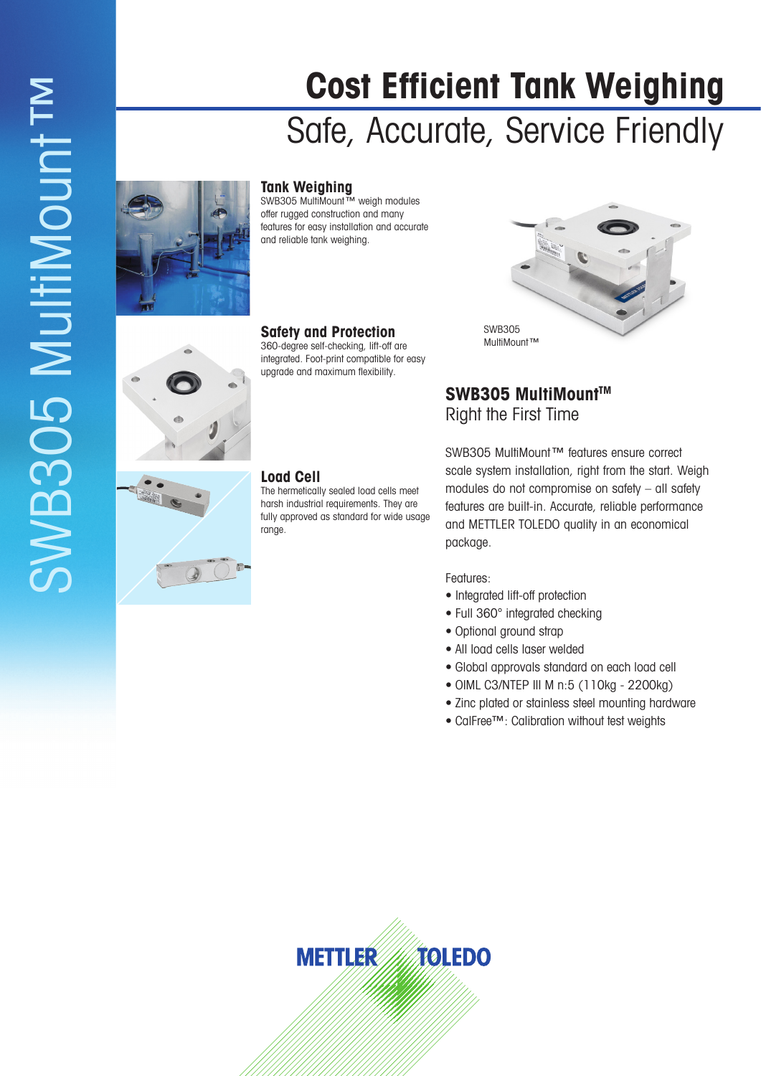# **Cost Efficient Tank Weighing** Safe, Accurate, Service Friendly

## **Tank Weighing**

SWB305 MultiMount™ weigh modules offer rugged construction and many features for easy installation and accurate and reliable tank weighing.



## **Safety and Protection**

360-degree self-checking, lift-off are integrated. Foot-print compatible for easy upgrade and maximum flexibility.



## SWB305 MultiMount<sup>™</sup> Right the First Time

### **Load Cell**

The hermetically sealed load cells meet harsh industrial requirements. They are fully approved as standard for wide usage range.

SWB305 MultiMount™ features ensure correct scale system installation, right from the start. Weigh modules do not compromise on safety – all safety features are built-in. Accurate, reliable performance and METTLER TOLEDO quality in an economical package.

#### Features:

- Integrated lift-off protection
- Full 360° integrated checking
- Optional ground strap
- All load cells laser welded
- Global approvals standard on each load cell
- OIML C3/NTEP III M n:5 (110kg 2200kg)
- Zinc plated or stainless steel mounting hardware
- CalFree™: Calibration without test weights

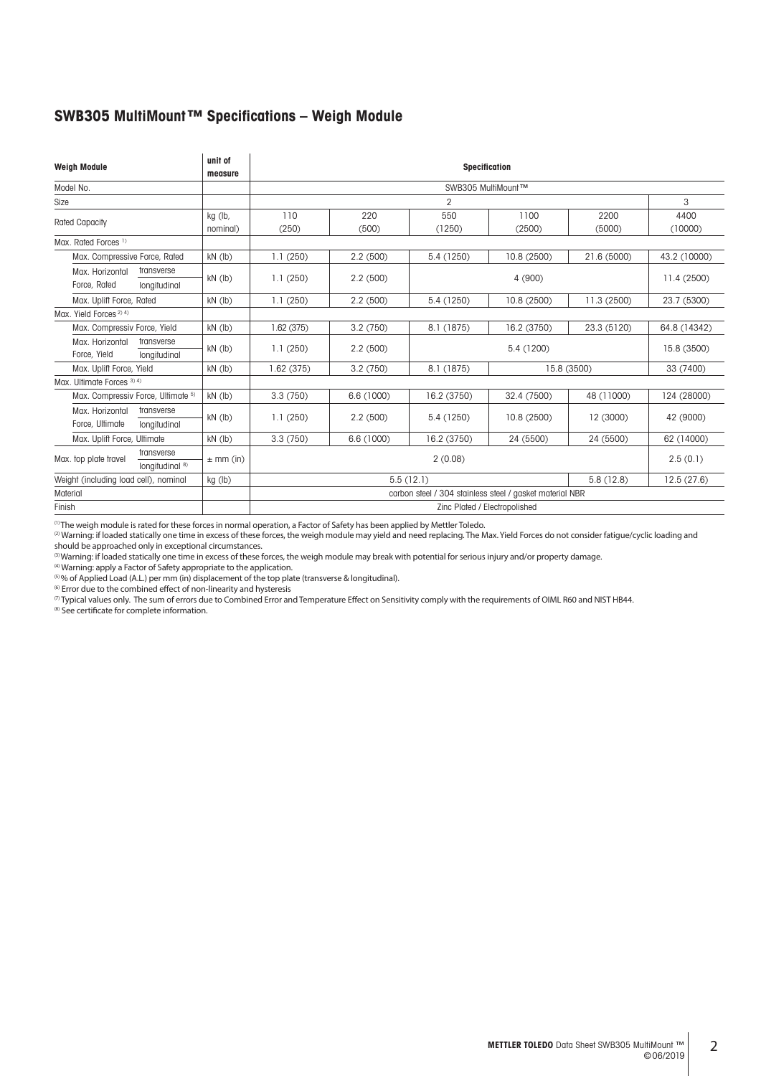#### **SWB305 MultiMount™ Specifications – Weigh Module**

| <b>Weigh Module</b>                                              | unit of<br>measure            | Specification                                            |                |               |                |                |                 |  |  |  |  |  |
|------------------------------------------------------------------|-------------------------------|----------------------------------------------------------|----------------|---------------|----------------|----------------|-----------------|--|--|--|--|--|
| Model No.                                                        |                               | SWB305 MultiMount™                                       |                |               |                |                |                 |  |  |  |  |  |
| Size                                                             |                               |                                                          | $\overline{2}$ |               |                |                |                 |  |  |  |  |  |
| <b>Rated Capacity</b>                                            | kg (lb,<br>nominal)           | 110<br>(250)                                             | 220<br>(500)   | 550<br>(1250) | 1100<br>(2500) | 2200<br>(5000) | 4400<br>(10000) |  |  |  |  |  |
| Max. Rated Forces <sup>1)</sup>                                  |                               |                                                          |                |               |                |                |                 |  |  |  |  |  |
| Max. Compressive Force, Rated                                    | $kN$ ( $lb$ )                 | 1.1(250)                                                 | 2.2(500)       | 5.4 (1250)    | 10.8 (2500)    | 21.6 (5000)    | 43.2 (10000)    |  |  |  |  |  |
| transverse<br>Max. Horizontal<br>Force, Rated<br>longitudinal    | $kN$ (lb)                     | 1.1(250)                                                 | 2.2(500)       |               | 4 (900)        |                |                 |  |  |  |  |  |
| Max. Uplift Force, Rated                                         | $kN$ ( $lb$ )                 | 1.1(250)<br>5.4 (1250)<br>10.8 (2500)<br>2.2(500)        |                | 11.3 (2500)   | 23.7 (5300)    |                |                 |  |  |  |  |  |
| Max. Yield Forces <sup>2) 4)</sup>                               |                               |                                                          |                |               |                |                |                 |  |  |  |  |  |
| Max. Compressiv Force, Yield                                     | $kN$ ( $lb$ )                 | 1.62(375)                                                | 3.2(750)       | 8.1 (1875)    | 16.2 (3750)    | 23.3 (5120)    | 64.8 (14342)    |  |  |  |  |  |
| Max. Horizontal<br>transverse<br>Force, Yield<br>longitudinal    | $kN$ ( $lb$ )                 | 1.1(250)                                                 | 2.2(500)       |               | 5.4 (1200)     |                |                 |  |  |  |  |  |
| Max. Uplift Force, Yield                                         | $kN$ ( $lb$ )                 | 1.62(375)                                                | 3.2(750)       | 8.1 (1875)    |                | 15.8 (3500)    | 33 (7400)       |  |  |  |  |  |
| Max. Ultimate Forces 3) 4)                                       |                               |                                                          |                |               |                |                |                 |  |  |  |  |  |
| Max. Compressiv Force, Ultimate 5)                               | $kN$ (lb)                     | 3.3(750)                                                 | 6.6 (1000)     | 16.2 (3750)   | 32.4 (7500)    | 48 (11000)     | 124 (28000)     |  |  |  |  |  |
| Max. Horizontal<br>transverse<br>Force, Ultimate<br>longitudinal | $kN$ ( $lb$ )                 | 1.1(250)                                                 | 2.2(500)       | 5.4 (1250)    | 10.8 (2500)    |                | 42 (9000)       |  |  |  |  |  |
| Max. Uplift Force, Ultimate                                      | $kN$ ( $lb$ )                 | 3.3(750)                                                 | 6.6 (1000)     | 16.2 (3750)   | 24 (5500)      | 24 (5500)      | 62 (14000)      |  |  |  |  |  |
| transverse<br>Max. top plate travel<br>longitudinal 8)           | $\pm$ mm (in)                 | 2(0.08)<br>2.5(0.1)                                      |                |               |                |                |                 |  |  |  |  |  |
| Weight (including load cell), nominal                            | kg (lb)                       | 5.5(12.1)<br>5.8(12.8)<br>12.5(27.6)                     |                |               |                |                |                 |  |  |  |  |  |
| Material                                                         |                               | carbon steel / 304 stainless steel / gasket material NBR |                |               |                |                |                 |  |  |  |  |  |
| Finish                                                           | Zinc Plated / Electropolished |                                                          |                |               |                |                |                 |  |  |  |  |  |

 $^{\rm (1)}$ The weigh module is rated for these forces in normal operation, a Factor of Safety has been applied by Mettler Toledo.

 ${}^{(2)}$ Warning: if loaded statically one time in excess of these forces, the weigh module may yield and need replacing. The Max. Yield Forces do not consider fatigue/cyclic loading and should be approached only in exceptional circumstances.

 $^\text{\tiny{(3)}}$ Warning: if loaded statically one time in excess of these forces, the weigh module may break with potential for serious injury and/or property damage.

<sup>(4)</sup> Warning: apply a Factor of Safety appropriate to the application.

 $^{(5)}$ % of Applied Load (A.L.) per mm (in) displacement of the top plate (transverse & longitudinal).

<sup>(6)</sup> Error due to the combined effect of non-linearity and hysteresis

 $^{(7)}$ Typical values only. The sum of errors due to Combined Error and Temperature Effect on Sensitivity comply with the requirements of OIML R60 and NIST HB44.

<sup>(8)</sup> See certificate for complete information.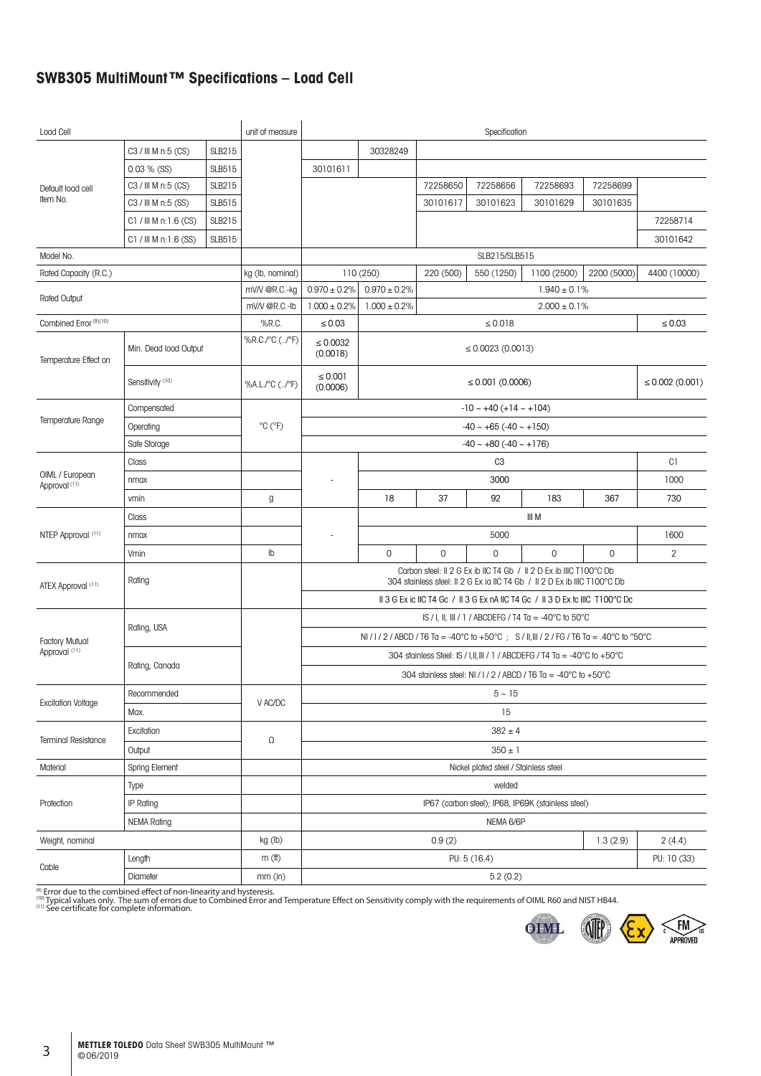## **SWB305 MultiMount™ Specifications – Load Cell**

| Load Cell                                                   |                                           |                   | unit of measure                        | Specification                                                                                                                                   |                                                                                            |             |                                |                                                    |             |                |  |  |  |
|-------------------------------------------------------------|-------------------------------------------|-------------------|----------------------------------------|-------------------------------------------------------------------------------------------------------------------------------------------------|--------------------------------------------------------------------------------------------|-------------|--------------------------------|----------------------------------------------------|-------------|----------------|--|--|--|
|                                                             | C3 / III M n:5 (CS)                       | <b>SLB215</b>     |                                        | 30328249                                                                                                                                        |                                                                                            |             |                                |                                                    |             |                |  |  |  |
|                                                             | $0.03 \%$ (SS)                            | <b>SLB515</b>     |                                        | 30101611                                                                                                                                        |                                                                                            |             |                                |                                                    |             |                |  |  |  |
| Default load cell                                           | C3 / III M n:5 (CS)                       | <b>SLB215</b>     |                                        |                                                                                                                                                 | 72258650                                                                                   | 72258656    | 72258693                       | 72258699                                           |             |                |  |  |  |
| Item No.                                                    | C3 / III M n:5 (SS)<br>SLB515             |                   |                                        |                                                                                                                                                 |                                                                                            | 30101617    | 30101623                       | 30101629                                           | 30101635    |                |  |  |  |
|                                                             | $C1 /$ III M n: 1.6 (CS)<br><b>SLB215</b> |                   |                                        |                                                                                                                                                 |                                                                                            |             |                                |                                                    |             | 72258714       |  |  |  |
|                                                             | $C1 /$ III M n: 1.6 (SS)                  | <b>SLB515</b>     |                                        |                                                                                                                                                 |                                                                                            |             |                                |                                                    | 30101642    |                |  |  |  |
| Model No.                                                   |                                           |                   |                                        |                                                                                                                                                 | SLB215/SLB515                                                                              |             |                                |                                                    |             |                |  |  |  |
| Rated Capacity (R.C.)                                       |                                           |                   | kg (lb, nominal)                       |                                                                                                                                                 | 110 (250)<br>220 (500)<br>550 (1250)<br>1100 (2500)<br>2200 (5000)                         |             |                                |                                                    |             |                |  |  |  |
| <b>Rated Output</b>                                         |                                           |                   | mV/V @R.C.-kg                          | $0.970\pm0.2\%$                                                                                                                                 | $0.970 \pm 0.2\%$                                                                          |             |                                | $1.940 \pm 0.1\%$                                  |             |                |  |  |  |
|                                                             | mV/V @R.C.-lb                             | $1.000 \pm 0.2\%$ | $1.000 \pm 0.2\%$<br>$2.000 \pm 0.1\%$ |                                                                                                                                                 |                                                                                            |             |                                |                                                    |             |                |  |  |  |
| Combined Error (9)(10)                                      |                                           |                   | %R.C.                                  | $\leq 0.03$                                                                                                                                     |                                                                                            |             | $\leq 0.018$                   |                                                    |             | $\leq 0.03$    |  |  |  |
| Temperature Effect on                                       | Min. Dead load Output                     |                   |                                        | $\leq 0.0032$<br>(0.0018)                                                                                                                       |                                                                                            |             | $\leq$ 0.0023 (0.0013)         |                                                    |             |                |  |  |  |
|                                                             | Sensitivity (10)                          |                   | %A.L./°C (/°F)                         | $\leq 0.001$<br>(0.0006)                                                                                                                        | ≤ 0.001 (0.0006)<br>$\leq 0.002$ (0.001)                                                   |             |                                |                                                    |             |                |  |  |  |
|                                                             | Compensated                               |                   |                                        |                                                                                                                                                 |                                                                                            |             | $-10 \sim +40 (+14 \sim +104)$ |                                                    |             |                |  |  |  |
| <b>Temperature Range</b>                                    | Operating                                 |                   | $^{\circ}$ C ( $^{\circ}$ F)           |                                                                                                                                                 | $-40 \sim +65$ ( $-40 \sim +150$ )                                                         |             |                                |                                                    |             |                |  |  |  |
|                                                             | Safe Storage                              |                   |                                        |                                                                                                                                                 | $-40 \sim +80$ ( $-40 \sim +176$ )                                                         |             |                                |                                                    |             |                |  |  |  |
|                                                             | Class                                     |                   |                                        |                                                                                                                                                 | C1<br>C <sub>3</sub>                                                                       |             |                                |                                                    |             |                |  |  |  |
| OIML / European<br>nmax<br>Approval <sup>(11)</sup><br>vmin |                                           |                   |                                        |                                                                                                                                                 |                                                                                            | 3000        |                                |                                                    |             |                |  |  |  |
|                                                             |                                           |                   | g                                      |                                                                                                                                                 | 18                                                                                         | 37          | 92                             | 183                                                | 367         | 730            |  |  |  |
|                                                             | Class                                     |                   |                                        |                                                                                                                                                 |                                                                                            |             |                                | III M                                              |             |                |  |  |  |
| NTEP Approval (11)<br>nmax                                  |                                           |                   |                                        |                                                                                                                                                 | 1600                                                                                       |             |                                |                                                    |             |                |  |  |  |
|                                                             | Vmin                                      |                   | Ib                                     |                                                                                                                                                 | $\mathbf 0$                                                                                | $\mathbf 0$ | $\mathbf 0$                    | $\mathbf 0$                                        | $\mathbf 0$ | $\overline{2}$ |  |  |  |
| ATEX Approval (11)                                          | Rating                                    |                   |                                        | Carbon steel: II 2 G Ex ib IIC T4 Gb / II 2 D Ex ib IIIC T100°C Db<br>304 stainless steel: Il 2 G Ex ia IIC T4 Gb / Il 2 D Ex ib IIIC T100°C Db |                                                                                            |             |                                |                                                    |             |                |  |  |  |
|                                                             |                                           |                   |                                        |                                                                                                                                                 | II 3 G Ex ic IIC T4 Gc / II 3 G Ex nA IIC T4 Gc / II 3 D Ex tc IIIC T100°C Dc              |             |                                |                                                    |             |                |  |  |  |
|                                                             |                                           |                   |                                        | IS / I, II, III / 1 / ABCDEFG / T4 Ta = -40°C to 50°C                                                                                           |                                                                                            |             |                                |                                                    |             |                |  |  |  |
| <b>Factory Mutual</b>                                       | Rating, USA                               |                   |                                        |                                                                                                                                                 | NI / I / 2 / ABCD / T6 Ta = -40°C to +50°C ; S / II, III / 2 / FG / T6 Ta = .40°C to °50°C |             |                                |                                                    |             |                |  |  |  |
| Approval (11)                                               |                                           |                   |                                        |                                                                                                                                                 | 304 stainless Steel: IS / I, II, III / 1 / ABCDEFG / T4 Ta = -40°C to +50°C                |             |                                |                                                    |             |                |  |  |  |
|                                                             |                                           | Rating, Canada    |                                        |                                                                                                                                                 | 304 stainless steel: NI / I / 2 / ABCD / T6 Ta = -40°C to +50°C                            |             |                                |                                                    |             |                |  |  |  |
|                                                             | Recommended                               |                   |                                        | $5 - 15$                                                                                                                                        |                                                                                            |             |                                |                                                    |             |                |  |  |  |
| <b>Excitation Voltage</b>                                   | Max.                                      |                   | V AC/DC                                | 15                                                                                                                                              |                                                                                            |             |                                |                                                    |             |                |  |  |  |
|                                                             | Excitation                                |                   |                                        | $382 \pm 4$                                                                                                                                     |                                                                                            |             |                                |                                                    |             |                |  |  |  |
| <b>Terminal Resistance</b>                                  | Output                                    |                   |                                        | Ω<br>$350 \pm 1$                                                                                                                                |                                                                                            |             |                                |                                                    |             |                |  |  |  |
| Material                                                    | Spring Element                            |                   |                                        |                                                                                                                                                 | Nickel plated steel / Stainless steel                                                      |             |                                |                                                    |             |                |  |  |  |
|                                                             | Type                                      |                   |                                        |                                                                                                                                                 |                                                                                            |             | welded                         |                                                    |             |                |  |  |  |
| Protection                                                  | IP Rating                                 |                   |                                        |                                                                                                                                                 |                                                                                            |             |                                | IP67 (carbon steel); IP68, IP69K (stainless steel) |             |                |  |  |  |
|                                                             | <b>NEMA Rating</b>                        |                   |                                        |                                                                                                                                                 | NEMA 6/6P                                                                                  |             |                                |                                                    |             |                |  |  |  |
| Weight, nominal                                             |                                           |                   | kg (lb)                                |                                                                                                                                                 |                                                                                            | 0.9(2)      |                                |                                                    | 1.3(2.9)    | 2(4.4)         |  |  |  |
|                                                             | Length                                    |                   | m(f)                                   |                                                                                                                                                 |                                                                                            |             | PU: 5 (16.4)                   |                                                    |             | PU: 10 (33)    |  |  |  |
| Cable                                                       | Diameter                                  |                   | $mm$ (in)                              |                                                                                                                                                 |                                                                                            |             | 5.2(0.2)                       |                                                    |             |                |  |  |  |
|                                                             |                                           |                   |                                        |                                                                                                                                                 |                                                                                            |             |                                |                                                    |             |                |  |  |  |

<sup>(9)</sup> Error due to the combined effect of non-linearity and hysteresis.<br><sup>(10)</sup> Typical values only. The sum of errors due to Combined Error and Temperature Effect on Sensitivity comply with the requirements of OIML R60 and

**OIML** 

**OF** 

FM<br>APPROVED

 $\sum_{i=1}^{n}$ 

る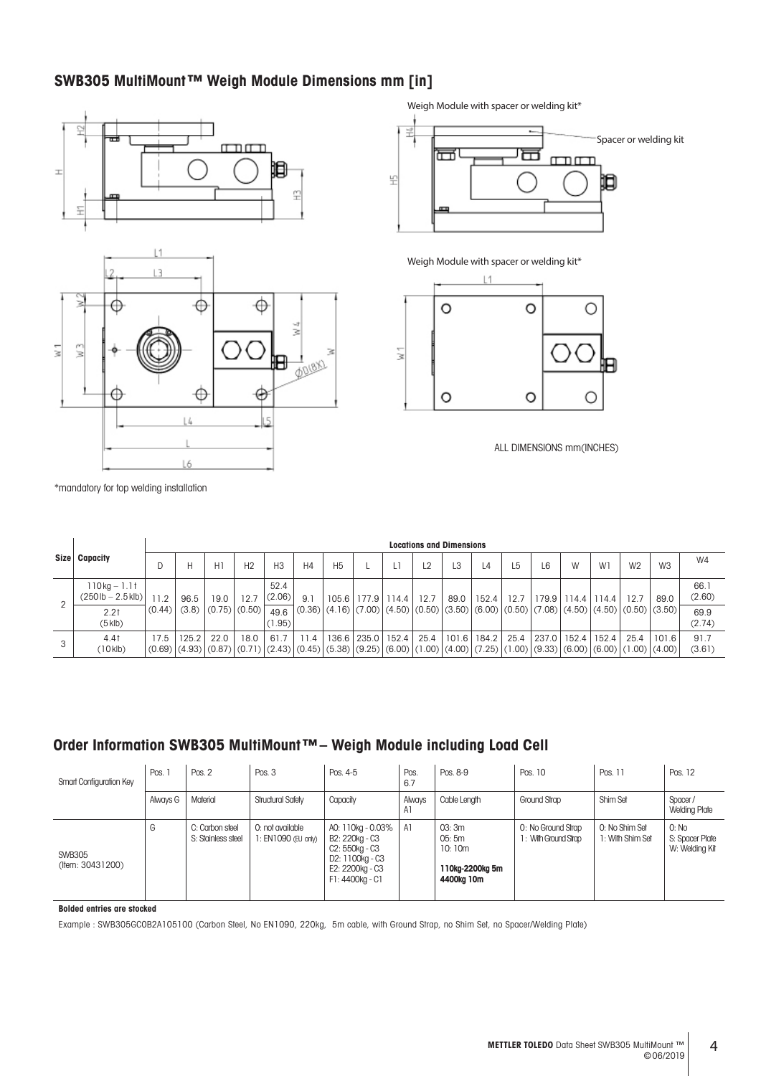## **SWB305 MultiMount™ Weigh Module Dimensions mm [in]**



Weigh Module with spacer or welding kit\*



Weigh Module with spacer or welding kit\*



ALL DIMENSIONS mm(INCHES)

\*mandatory for top welding installation

|   |                                                              |                | <b>Locations and Dimensions</b> |                        |                                                                                                                                                                  |                                |      |           |  |                                                                                                                                                 |                |       |       |      |       |               |       |                |                 |                                  |
|---|--------------------------------------------------------------|----------------|---------------------------------|------------------------|------------------------------------------------------------------------------------------------------------------------------------------------------------------|--------------------------------|------|-----------|--|-------------------------------------------------------------------------------------------------------------------------------------------------|----------------|-------|-------|------|-------|---------------|-------|----------------|-----------------|----------------------------------|
|   | Size   Capacity                                              |                | Н                               | HI                     | H <sub>2</sub>                                                                                                                                                   | H <sub>3</sub>                 | H4   | <b>H5</b> |  |                                                                                                                                                 | L <sub>2</sub> | L3    | 4ء    | L5   | L6    | W             | W1    | W <sub>2</sub> | W <sub>3</sub>  | W4                               |
| 2 | $110 kg - 1.11$<br>$(250 lb - 2.5 klb)$<br>2.21<br>$(5$ klb) | 11.2<br>(0.44) | 96.5<br>(3.8)                   | 19.0<br> (0.75) (0.50) | 12.7                                                                                                                                                             | 52.4<br>(2.06)<br>49.6<br>.95) | 9.1  |           |  | 105.6   177.9   114.4  <br>$(0.36)$ $(4.16)$ $(7.00)$ $(4.50)$ $(0.50)$ $(3.50)$ $(6.00)$ $(0.50)$ $(7.08)$ $(4.50)$ $(4.50)$ $(0.50)$ $(3.50)$ | 12.7           | 89.0  | 152.4 | 12.7 |       | 179.9   114.4 | 114.4 | 12.7           | 89.0            | 66.1<br>(2.60)<br>69.9<br>(2.74) |
| 3 | 4.41<br>(10klb)                                              | 17.5           | 125.2                           | 22.0                   | 18.0<br>$(0.69)$ $(4.93)$ $(0.87)$ $(0.71)$ $(2.43)$ $(0.45)$ $(5.38)$ $(9.25)$ $(6.00)$ $(1.00)$ $(4.00)$ $(7.25)$ $(1.00)$ $(9.33)$ $(6.00)$ $(6.00)$ $(1.00)$ | 61.7                           | 11.4 |           |  | 136.6 235.0   152.4                                                                                                                             | 25.4           | 101.6 | 184.2 | 25.4 | 237.0 | 152.4         | 152.4 | 25.4           | 101.6<br>(4.00) | 91.7<br>(3.61)                   |

## **Order Information SWB305 MultiMount™– Weigh Module including Load Cell**

| Smart Configuration Key           | Pos. 1   | Pos. 2                                | Pos. 3                                 | Pos. 4-5                                                                                                       | Pos.<br>6.7  | Pos. 8-9                                                   | Pos. 10                                    | Pos. 11                            | Pos. 12                                    |
|-----------------------------------|----------|---------------------------------------|----------------------------------------|----------------------------------------------------------------------------------------------------------------|--------------|------------------------------------------------------------|--------------------------------------------|------------------------------------|--------------------------------------------|
|                                   | Always G | Material                              | Structural Safety                      | Capacity                                                                                                       | Always<br>A1 | Cable Length                                               | Ground Strap                               | Shim Set                           | Spacer/<br><b>Welding Plate</b>            |
| <b>SWB305</b><br>(Item: 30431200) | G        | C: Carbon steel<br>S: Stainless steel | 0: not available<br>: EN1090 (EU only) | AO: 110kg - 0.03%<br>B2: 220kg - C3<br>C2: 550kg - C3<br>D2: 1100kg - C3<br>E2: 2200kg - C3<br>F1: 4400kg - C1 | A1           | 03:3m<br>05: 5m<br>10:10m<br>110kg-2200kg 5m<br>4400kg 10m | 0: No Ground Strap<br>1: With Ground Strap | 0: No Shim Set<br>1: With Shim Set | 0: No<br>S: Spacer Plate<br>W: Welding Kit |

**Bolded entries are stocked**

Example : SWB305GC0B2A105100 (Carbon Steel, No EN1090, 220kg, 5m cable, with Ground Strap, no Shim Set, no Spacer/Welding Plate)